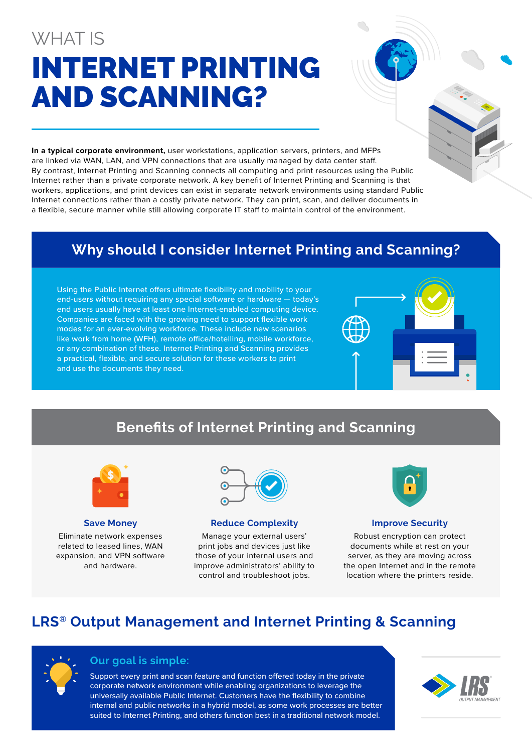# WHAT IS INTERNET PRINTING AND SCANNING?

**In a typical corporate environment,** user workstations, application servers, printers, and MFPs are linked via WAN, LAN, and VPN connections that are usually managed by data center staff. By contrast, Internet Printing and Scanning connects all computing and print resources using the Public Internet rather than a private corporate network. A key benefit of Internet Printing and Scanning is that workers, applications, and print devices can exist in separate network environments using standard Public Internet connections rather than a costly private network. They can print, scan, and deliver documents in a flexible, secure manner while still allowing corporate IT staff to maintain control of the environment.

# **Why should I consider Internet Printing and Scanning?**

Using the Public Internet offers ultimate flexibility and mobility to your end-users without requiring any special software or hardware — today's end users usually have at least one Internet-enabled computing device. Companies are faced with the growing need to support flexible work modes for an ever-evolving workforce. These include new scenarios like work from home (WFH), remote office/hotelling, mobile workforce, or any combination of these. Internet Printing and Scanning provides a practical, flexible, and secure solution for these workers to print and use the documents they need.





**Save Money**

Eliminate network expenses related to leased lines, WAN expansion, and VPN software and hardware.



#### **Reduce Complexity**

Manage your external users' print jobs and devices just like those of your internal users and improve administrators' ability to control and troubleshoot jobs.



#### **Improve Security**

Robust encryption can protect documents while at rest on your server, as they are moving across the open Internet and in the remote location where the printers reside.

## **LRS® Output Management and Internet Printing & Scanning**



### **Our goal is simple:**

Support every print and scan feature and function offered today in the private corporate network environment while enabling organizations to leverage the universally available Public Internet. Customers have the flexibility to combine internal and public networks in a hybrid model, as some work processes are better suited to Internet Printing, and others function best in a traditional network model.